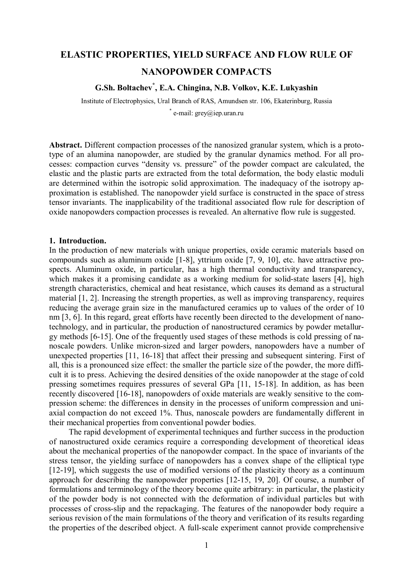# **ELASTIC PROPERTIES, YIELD SURFACE AND FLOW RULE OF**

## **NANOPOWDER COMPACTS**

**G.Sh. Boltachev\* , E.A. Chingina, N.B. Volkov, K.E. Lukyashin**

Institute of Electrophysics, Ural Branch of RAS, Amundsen str. 106, Ekaterinburg, Russia

\* e-mail: grey@iep.uran.ru

**Abstract.** Different compaction processes of the nanosized granular system, which is a prototype of an alumina nanopowder, are studied by the granular dynamics method. For all processes: compaction curves "density vs. pressure" of the powder compact are calculated, the elastic and the plastic parts are extracted from the total deformation, the body elastic moduli are determined within the isotropic solid approximation. The inadequacy of the isotropy approximation is established. The nanopowder yield surface is constructed in the space of stress tensor invariants. The inapplicability of the traditional associated flow rule for description of oxide nanopowders compaction processes is revealed. An alternative flow rule is suggested.

### **1. Introduction.**

In the production of new materials with unique properties, oxide ceramic materials based on compounds such as aluminum oxide [1-8], yttrium oxide [7, 9, 10], etc. have attractive prospects. Aluminum oxide, in particular, has a high thermal conductivity and transparency, which makes it a promising candidate as a working medium for solid-state lasers [4], high strength characteristics, chemical and heat resistance, which causes its demand as a structural material [1, 2]. Increasing the strength properties, as well as improving transparency, requires reducing the average grain size in the manufactured ceramics up to values of the order of 10 nm [3, 6]. In this regard, great efforts have recently been directed to the development of nanotechnology, and in particular, the production of nanostructured ceramics by powder metallurgy methods [6-15]. One of the frequently used stages of these methods is cold pressing of nanoscale powders. Unlike micron-sized and larger powders, nanopowders have a number of unexpected properties [11, 16-18] that affect their pressing and subsequent sintering. First of all, this is a pronounced size effect: the smaller the particle size of the powder, the more difficult it is to press. Achieving the desired densities of the oxide nanopowder at the stage of cold pressing sometimes requires pressures of several GPa [11, 15-18]. In addition, as has been recently discovered [16-18], nanopowders of oxide materials are weakly sensitive to the compression scheme: the differences in density in the processes of uniform compression and uniaxial compaction do not exceed 1%. Thus, nanoscale powders are fundamentally different in their mechanical properties from conventional powder bodies.

The rapid development of experimental techniques and further success in the production of nanostructured oxide ceramics require a corresponding development of theoretical ideas about the mechanical properties of the nanopowder compact. In the space of invariants of the stress tensor, the yielding surface of nanopowders has a convex shape of the elliptical type [12-19], which suggests the use of modified versions of the plasticity theory as a continuum approach for describing the nanopowder properties [12-15, 19, 20]. Of course, a number of formulations and terminology of the theory become quite arbitrary: in particular, the plasticity of the powder body is not connected with the deformation of individual particles but with processes of cross-slip and the repackaging. The features of the nanopowder body require a serious revision of the main formulations of the theory and verification of its results regarding the properties of the described object. A full-scale experiment cannot provide comprehensive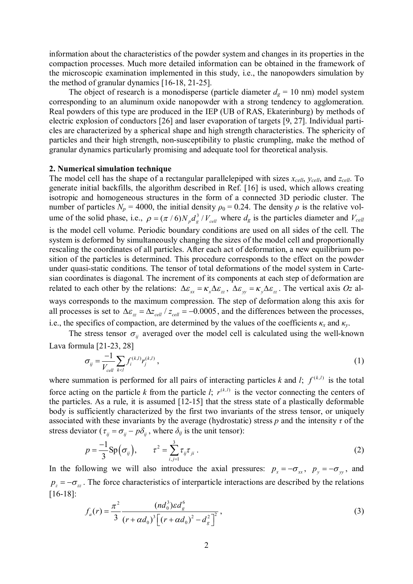information about the characteristics of the powder system and changes in its properties in the compaction processes. Much more detailed information can be obtained in the framework of the microscopic examination implemented in this study, i.e., the nanopowders simulation by the method of granular dynamics [16-18, 21-25].

The object of research is a monodisperse (particle diameter  $d_g = 10$  nm) model system corresponding to an aluminum oxide nanopowder with a strong tendency to agglomeration. Real powders of this type are produced in the IEP (UB of RAS, Ekaterinburg) by methods of electric explosion of conductors [26] and laser evaporation of targets [9, 27]. Individual particles are characterized by a spherical shape and high strength characteristics. The sphericity of particles and their high strength, non-susceptibility to plastic crumpling, make the method of granular dynamics particularly promising and adequate tool for theoretical analysis.

#### **2. Numerical simulation technique**

The model cell has the shape of a rectangular parallelepiped with sizes *xcell*, *ycell*, and *zcell*. To generate initial backfills, the algorithm described in Ref. [16] is used, which allows creating isotropic and homogeneous structures in the form of a connected 3D periodic cluster. The number of particles  $N_p = 4000$ , the initial density  $\rho_0 = 0.24$ . The density  $\rho$  is the relative volume of the solid phase, i.e.,  $\rho = (\pi / 6) N_p d_g^3 / V_{cell}$  where  $d_g$  is the particles diameter and  $V_{cell}$ is the model cell volume. Periodic boundary conditions are used on all sides of the cell. The system is deformed by simultaneously changing the sizes of the model cell and proportionally rescaling the coordinates of all particles. After each act of deformation, a new equilibrium position of the particles is determined. This procedure corresponds to the effect on the powder under quasi-static conditions. The tensor of total deformations of the model system in Cartesian coordinates is diagonal. The increment of its components at each step of deformation are related to each other by the relations:  $\Delta \varepsilon_{xx} = \kappa_x \Delta \varepsilon_{zz}$ ,  $\Delta \varepsilon_{yy} = \kappa_y \Delta \varepsilon_{zz}$ . The vertical axis *Oz* always corresponds to the maximum compression. The step of deformation along this axis for all processes is set to  $\Delta \varepsilon_z = \Delta z_{cell} / z_{cell} = -0.0005$ , and the differences between the processes, i.e., the specifics of compaction, are determined by the values of the coefficients  $\kappa_x$  and  $\kappa_y$ .

The stress tensor  $\sigma_{ij}$  averaged over the model cell is calculated using the well-known Lava formula [21-23, 28]

$$
\sigma_{ij} = \frac{-1}{V_{cell}} \sum_{k < l} f_i^{(k,l)} r_j^{(k,l)},\tag{1}
$$

where summation is performed for all pairs of interacting particles *k* and *l*;  $f^{(k,l)}$  is the total force acting on the particle *k* from the particle *l*;  $r^{(k,l)}$  is the vector connecting the centers of the particles. As a rule, it is assumed [12-15] that the stress state of a plastically deformable body is sufficiently characterized by the first two invariants of the stress tensor, or uniquely associated with these invariants by the average (hydrostatic) stress *p* and the intensity *τ* of the stress deviator ( $\tau_{ij} = \sigma_{ij} - p\delta_{ij}$ , where  $\delta_{ij}$  is the unit tensor):

$$
p = \frac{-1}{3} \operatorname{Sp}(\sigma_{ij}), \qquad \tau^2 = \sum_{i,j=1}^3 \tau_{ij} \tau_{ji} \ . \tag{2}
$$

In the following we will also introduce the axial pressures:  $p_x = -\sigma_{xx}$ ,  $p_y = -\sigma_{yy}$ , and  $p_z = -\sigma_{zz}$ . The force characteristics of interparticle interactions are described by the relations [16-18]:

$$
f_a(r) = \frac{\pi^2}{3} \frac{(nd_0^3)\varepsilon d_g^6}{(r + \alpha d_0)^3 \left[ (r + \alpha d_0)^2 - d_g^2 \right]^2},
$$
\n(3)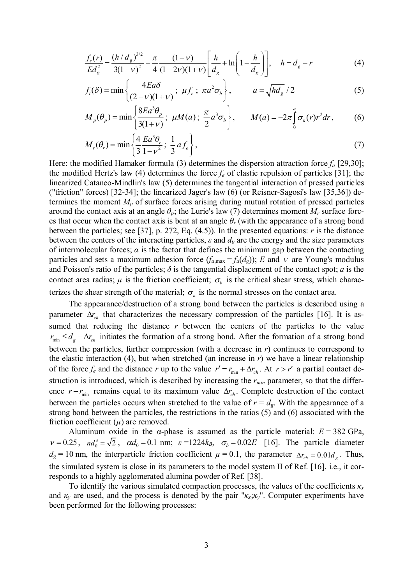$$
\frac{f_e(r)}{Ed_g^2} = \frac{(h/d_g)^{3/2}}{3(1-v)^2} - \frac{\pi}{4} \frac{(1-v)}{(1-2v)(1+v)} \left[ \frac{h}{d_g} + \ln\left(1 - \frac{h}{d_g}\right) \right], \quad h = d_g - r
$$
\n(4)

$$
f_t(\delta) = \min\left\{\frac{4Ea\delta}{(2-\nu)(1+\nu)}; \ \mu f_e; \ \pi a^2 \sigma_b\right\}, \qquad a = \sqrt{hd_g}/2 \tag{5}
$$

$$
M_p(\theta_p) = \min\left\{\frac{8Ea^3\theta_p}{3(1+\nu)}; \ \mu M(a); \ \frac{\pi}{2}a^3\sigma_b\right\}, \qquad M(a) = -2\pi\int_0^a \sigma_n(r)r^2dr, \tag{6}
$$

$$
M_r(\theta_r) = \min\left\{\frac{4}{3}\frac{Ea^3\theta_r}{1 - v^2}; \frac{1}{3}af_e\right\},\tag{7}
$$

Here: the modified Hamaker formula (3) determines the dispersion attraction force  $f_a$  [29,30]; the modified Hertz's law (4) determines the force  $f_e$  of elastic repulsion of particles [31]; the linearized Cataneo-Mindlin's law (5) determines the tangential interaction of pressed particles ("friction" forces) [32-34]; the linearized Jager's law (6) (or Reisner-Sagosi's law [35,36]) determines the moment  $M_p$  of surface forces arising during mutual rotation of pressed particles around the contact axis at an angle  $\theta_p$ ; the Lurie's law (7) determines moment  $M_r$  surface forces that occur when the contact axis is bent at an angle *θ<sup>r</sup>* (with the appearance of a strong bond between the particles; see [37], p. 272, Eq. (4.5)). In the presented equations: *r* is the distance between the centers of the interacting particles,  $\varepsilon$  and  $d_0$  are the energy and the size parameters of intermolecular forces;  $\alpha$  is the factor that defines the minimum gap between the contacting particles and sets a maximum adhesion force  $(f_{a,\text{max}} = f_a(d_g))$ ; *E* and *v* are Young's modulus and Poisson's ratio of the particles;  $\delta$  is the tangential displacement of the contact spot; *a* is the contact area radius;  $\mu$  is the friction coefficient;  $\sigma_b$  is the critical shear stress, which characterizes the shear strength of the material;  $\sigma_n$  is the normal stresses on the contact area.

The appearance/destruction of a strong bond between the particles is described using a parameter  $\Delta r_{ch}$  that characterizes the necessary compression of the particles [16]. It is assumed that reducing the distance *r* between the centers of the particles to the value  $r_{\min} \leq d_e - \Delta r_{ch}$  initiates the formation of a strong bond. After the formation of a strong bond between the particles, further compression (with a decrease in *r*) continues to correspond to the elastic interaction (4), but when stretched (an increase in *r*) we have a linear relationship of the force  $f_e$  and the distance *r* up to the value  $r' = r_{min} + \Delta r_{ch}$ . At  $r > r'$  a partial contact destruction is introduced, which is described by increasing the *rmin* parameter, so that the difference  $r - r_{\min}$  remains equal to its maximum value  $\Delta r_{ch}$ . Complete destruction of the contact between the particles occurs when stretched to the value of  $r = d_g$ . With the appearance of a strong bond between the particles, the restrictions in the ratios (5) and (6) associated with the friction coefficient (*µ*) are removed.

Aluminum oxide in the  $\alpha$ -phase is assumed as the particle material:  $E = 382$  GPa,  $v = 0.25$ ,  $nd_0^3 = \sqrt{2}$ ,  $\alpha d_0 = 0.1$  nm;  $\varepsilon = 1224k_B$ ,  $\sigma_b = 0.02E$  [16]. The particle diameter  $d_g = 10$  nm, the interparticle friction coefficient  $\mu = 0.1$ , the parameter  $\Delta r_{ch} = 0.01 d_s$ . Thus, the simulated system is close in its parameters to the model system II of Ref. [16], i.e., it corresponds to a highly agglomerated alumina powder of Ref. [38].

To identify the various simulated compaction processes, the values of the coefficients  $\kappa$ <sup>*x*</sup> and  $\kappa$ <sub>*y*</sub> are used, and the process is denoted by the pair " $\kappa$ <sub>*x*</sub>; $\kappa$ <sub>*y*</sub>". Computer experiments have been performed for the following processes: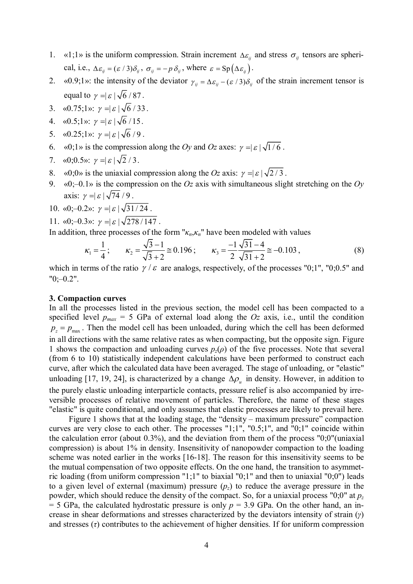- 1. «1;1» is the uniform compression. Strain increment  $\Delta \varepsilon_{ij}$  and stress  $\sigma_{ij}$  tensors are spherical, i.e.,  $\Delta \varepsilon_{ij} = (\varepsilon / 3) \delta_{ij}$ ,  $\sigma_{ij} = -p \delta_{ij}$ , where  $\varepsilon = \text{Sp}(\Delta \varepsilon_{ij})$ .
- 2. «0.9;1»: the intensity of the deviator  $\gamma_{ij} = \Delta \varepsilon_{ij} (\varepsilon / 3) \delta_{ij}$  of the strain increment tensor is equal to  $\gamma = \varepsilon / \sqrt{6} / 87$ .
- 3.  $\langle 0.75; 1 \rangle$ :  $\gamma = \varepsilon \sqrt{6}/33$ .
- 4. «0.5;1»:  $\gamma = |\varepsilon| \sqrt{6}/15$ .
- 5.  $\langle 0.25;1 \rangle : \gamma = |\varepsilon| \sqrt{6}/9$ .
- 6. «0;1» is the compression along the *Oy* and *Oz* axes:  $\gamma = |\varepsilon| \sqrt{1/6}$ .
- 7.  $\langle 0; 0.5 \rangle$ :  $\gamma = |\varepsilon| \sqrt{2}/3$ .
- 8. «0;0» is the uniaxial compression along the *Oz* axis:  $\gamma = \varepsilon \sqrt{2/3}$ .
- 9. «0;–0.1» is the compression on the *Oz* axis with simultaneous slight stretching on the *Oy* axis:  $\nu = \varepsilon / \sqrt{74} / 9$ .
- 10. «0;-0.2»:  $\gamma = \varepsilon \sqrt{31/24}$ .
- 11. «0;-0.3»:  $\nu = \varepsilon \sqrt{278/147}$ .

In addition, three processes of the form " $\kappa_n$ , $\kappa_n$ " have been modeled with values

$$
\kappa_1 = \frac{1}{4}
$$
;  $\kappa_2 = \frac{\sqrt{3} - 1}{\sqrt{3} + 2} \approx 0.196$ ;  $\kappa_3 = \frac{-1}{2} \frac{\sqrt{31} - 4}{\sqrt{31} + 2} \approx -0.103$ , (8)

which in terms of the ratio  $\gamma/\varepsilon$  are analogs, respectively, of the processes "0;1", "0;0.5" and "0;–0.2".

### **3. Compaction curves**

In all the processes listed in the previous section, the model cell has been compacted to a specified level  $p_{max} = 5$  GPa of external load along the  $Oz$  axis, i.e., until the condition  $p_z = p_{\text{max}}$ . Then the model cell has been unloaded, during which the cell has been deformed in all directions with the same relative rates as when compacting, but the opposite sign. Figure 1 shows the compaction and unloading curves  $p_z(\rho)$  of the five processes. Note that several (from 6 to 10) statistically independent calculations have been performed to construct each curve, after which the calculated data have been averaged. The stage of unloading, or "elastic" unloading [17, 19, 24], is characterized by a change  $\Delta \rho_u$  in density. However, in addition to the purely elastic unloading interparticle contacts, pressure relief is also accompanied by irreversible processes of relative movement of particles. Therefore, the name of these stages "elastic" is quite conditional, and only assumes that elastic processes are likely to prevail here.

Figure 1 shows that at the loading stage, the "density – maximum pressure" compaction curves are very close to each other. The processes "1;1", "0.5;1", and "0;1" coincide within the calculation error (about 0.3%), and the deviation from them of the process "0;0"(uniaxial compression) is about 1% in density. Insensitivity of nanopowder compaction to the loading scheme was noted earlier in the works [16-18]. The reason for this insensitivity seems to be the mutual compensation of two opposite effects. On the one hand, the transition to asymmetric loading (from uniform compression "1;1" to biaxial "0;1" and then to uniaxial "0;0") leads to a given level of external (maximum) pressure (*pz*) to reduce the average pressure in the powder, which should reduce the density of the compact. So, for a uniaxial process "0;0" at *p<sup>z</sup>*  $= 5$  GPa, the calculated hydrostatic pressure is only  $p = 3.9$  GPa. On the other hand, an increase in shear deformations and stresses characterized by the deviators intensity of strain (*γ*) and stresses (*τ*) contributes to the achievement of higher densities. If for uniform compression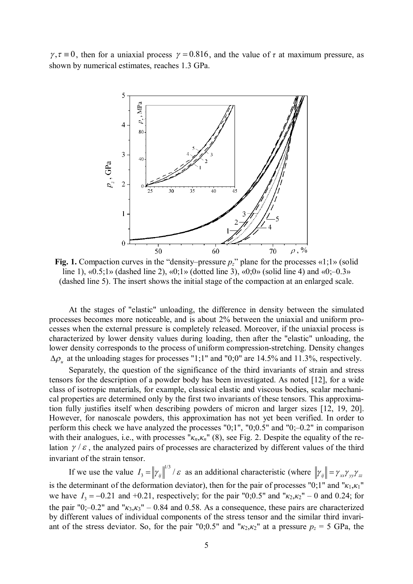$\gamma, \tau \equiv 0$ , then for a uniaxial process  $\gamma = 0.816$ , and the value of  $\tau$  at maximum pressure, as shown by numerical estimates, reaches 1.3 GPa.



**Fig. 1.** Compaction curves in the "density–pressure *pz*" plane for the processes «1;1» (solid line 1), «0.5;1» (dashed line 2), «0;1» (dotted line 3), «0;0» (solid line 4) and «0;–0.3» (dashed line 5). The insert shows the initial stage of the compaction at an enlarged scale.

At the stages of "elastic" unloading, the difference in density between the simulated processes becomes more noticeable, and is about 2% between the uniaxial and uniform processes when the external pressure is completely released. Moreover, if the uniaxial process is characterized by lower density values during loading, then after the "elastic" unloading, the lower density corresponds to the process of uniform compression-stretching. Density changes  $\Delta \rho_u$  at the unloading stages for processes "1;1" and "0;0" are 14.5% and 11.3%, respectively.

Separately, the question of the significance of the third invariants of strain and stress tensors for the description of a powder body has been investigated. As noted [12], for a wide class of isotropic materials, for example, classical elastic and viscous bodies, scalar mechanical properties are determined only by the first two invariants of these tensors. This approximation fully justifies itself when describing powders of micron and larger sizes [12, 19, 20]. However, for nanoscale powders, this approximation has not yet been verified. In order to perform this check we have analyzed the processes "0;1", "0;0.5" and "0;–0.2" in comparison with their analogues, i.e., with processes  $\mathbf{r}_{k_n,k_n}$ " (8), see Fig. 2. Despite the equality of the relation  $\gamma/\varepsilon$ , the analyzed pairs of processes are characterized by different values of the third invariant of the strain tensor.

If we use the value  $I_3 = ||\gamma_{ii}||^{1/3}$  $I_3 = ||\gamma_{ij}||^{\sim}/\varepsilon$  as an additional characteristic (where  $||\gamma_{ij}|| = \gamma_{xx}\gamma_{yy}\gamma_{zz}$ is the determinant of the deformation deviator), then for the pair of processes "0;1" and " $\kappa_1, \kappa_1$ " we have  $I_3 = -0.21$  and  $+0.21$ , respectively; for the pair "0;0.5" and " $\kappa_2, \kappa_2$ " – 0 and 0.24; for the pair "0;–0.2" and " $\kappa_3, \kappa_3$ " – 0.84 and 0.58. As a consequence, these pairs are characterized by different values of individual components of the stress tensor and the similar third invariant of the stress deviator. So, for the pair "0;0.5" and " $\kappa_2, \kappa_2$ " at a pressure  $p_z = 5$  GPa, the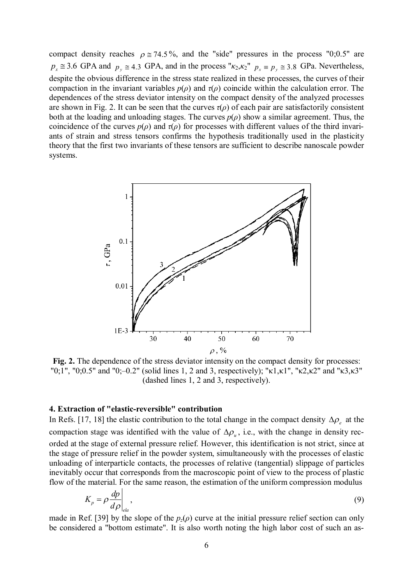compact density reaches  $\rho \approx 74.5\%$ , and the "side" pressures in the process "0;0.5" are  $p_x \approx 3.6$  GPA and  $p_y \approx 4.3$  GPA, and in the process " $\kappa_2, \kappa_2$ "  $p_x \equiv p_y \approx 3.8$  GPa. Nevertheless, despite the obvious difference in the stress state realized in these processes, the curves of their compaction in the invariant variables  $p(\rho)$  and  $\tau(\rho)$  coincide within the calculation error. The dependences of the stress deviator intensity on the compact density of the analyzed processes are shown in Fig. 2. It can be seen that the curves  $\tau(\rho)$  of each pair are satisfactorily consistent both at the loading and unloading stages. The curves  $p(\rho)$  show a similar agreement. Thus, the coincidence of the curves  $p(\rho)$  and  $\tau(\rho)$  for processes with different values of the third invariants of strain and stress tensors confirms the hypothesis traditionally used in the plasticity theory that the first two invariants of these tensors are sufficient to describe nanoscale powder systems.



**Fig. 2.** The dependence of the stress deviator intensity on the compact density for processes:  $"0;1", "0;0.5"$  and  $"0;-0.2"$  (solid lines 1, 2 and 3, respectively); " $\kappa$ 1, $\kappa$ 1", " $\kappa$ 2, $\kappa$ 2" and " $\kappa$ 3, $\kappa$ 3" (dashed lines 1, 2 and 3, respectively).

## **4. Extraction of "elastic-reversible" contribution**

In Refs. [17, 18] the elastic contribution to the total change in the compact density  $\Delta \rho_e$  at the compaction stage was identified with the value of  $\Delta \rho_u$ , i.e., with the change in density recorded at the stage of external pressure relief. However, this identification is not strict, since at the stage of pressure relief in the powder system, simultaneously with the processes of elastic unloading of interparticle contacts, the processes of relative (tangential) slippage of particles inevitably occur that corresponds from the macroscopic point of view to the process of plastic flow of the material. For the same reason, the estimation of the uniform compression modulus

$$
K_p = \rho \frac{dp}{d\rho}\bigg|_{\text{ela}},\tag{9}
$$

made in Ref. [39] by the slope of the  $p_z(\rho)$  curve at the initial pressure relief section can only be considered a "bottom estimate". It is also worth noting the high labor cost of such an as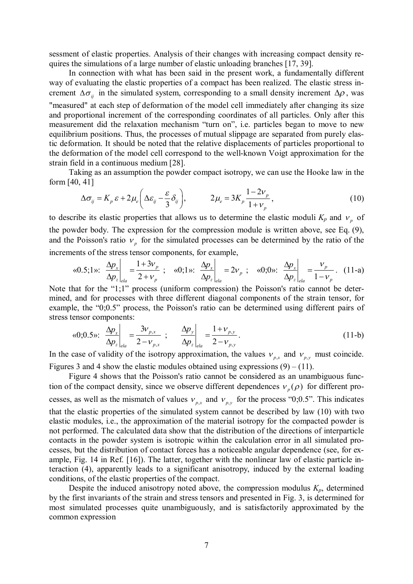sessment of elastic properties. Analysis of their changes with increasing compact density requires the simulations of a large number of elastic unloading branches [17, 39].

In connection with what has been said in the present work, a fundamentally different way of evaluating the elastic properties of a compact has been realized. The elastic stress increment  $\Delta \sigma_{ij}$  in the simulated system, corresponding to a small density increment  $\Delta \rho$ , was "measured" at each step of deformation of the model cell immediately after changing its size and proportional increment of the corresponding coordinates of all particles. Only after this measurement did the relaxation mechanism "turn on", i.e. particles began to move to new equilibrium positions. Thus, the processes of mutual slippage are separated from purely elastic deformation. It should be noted that the relative displacements of particles proportional to the deformation of the model cell correspond to the well-known Voigt approximation for the strain field in a continuous medium [28].

Taking as an assumption the powder compact isotropy, we can use the Hooke law in the form [40, 41]

$$
\Delta \sigma_{ij} = K_p \varepsilon + 2\mu_e \left( \Delta \varepsilon_{ij} - \frac{\varepsilon}{3} \delta_{ij} \right), \qquad 2\mu_e = 3K_p \frac{1 - 2\nu_p}{1 + \nu_p}, \qquad (10)
$$

to describe its elastic properties that allows us to determine the elastic moduli  $K_p$  and  $v_p$  of the powder body. The expression for the compression module is written above, see Eq. (9), and the Poisson's ratio  $v_p$  for the simulated processes can be determined by the ratio of the increments of the stress tensor components, for example,

$$
\text{(0.5;1)}: \frac{\Delta p_x}{\Delta p_z}\bigg|_{ela} = \frac{1+3v_p}{2+v_p}; \quad \text{(0,1)}: \frac{\Delta p_x}{\Delta p_z}\bigg|_{ela} = 2v_p; \quad \text{(0,0)}: \frac{\Delta p_x}{\Delta p_z}\bigg|_{ela} = \frac{v_p}{1-v_p}. \quad (11-a)
$$

Note that for the "1;1" process (uniform compression) the Poisson's ratio cannot be determined, and for processes with three different diagonal components of the strain tensor, for example, the "0;0.5" process, the Poisson's ratio can be determined using different pairs of stress tensor components:

$$
\text{(0.5)}: \frac{\Delta p_x}{\Delta p_z}\bigg|_{ela} = \frac{3v_{p,x}}{2 - v_{p,x}} \, ; \qquad \frac{\Delta p_y}{\Delta p_z}\bigg|_{ela} = \frac{1 + v_{p,y}}{2 - v_{p,y}} \, . \tag{11-b}
$$

In the case of validity of the isotropy approximation, the values  $v_{p,x}$  and  $v_{p,y}$  must coincide. Figures 3 and 4 show the elastic modules obtained using expressions  $(9) - (11)$ .

Figure 4 shows that the Poisson's ratio cannot be considered as an unambiguous function of the compact density, since we observe different dependences  $v_p(\rho)$  for different processes, as well as the mismatch of values  $v_{p,x}$  and  $v_{p,y}$  for the process "0;0.5". This indicates that the elastic properties of the simulated system cannot be described by law (10) with two elastic modules, i.e., the approximation of the material isotropy for the compacted powder is not performed. The calculated data show that the distribution of the directions of interparticle contacts in the powder system is isotropic within the calculation error in all simulated processes, but the distribution of contact forces has a noticeable angular dependence (see, for example, Fig. 14 in Ref. [16]). The latter, together with the nonlinear law of elastic particle interaction (4), apparently leads to a significant anisotropy, induced by the external loading conditions, of the elastic properties of the compact.

Despite the induced anisotropy noted above, the compression modulus  $K_p$ , determined by the first invariants of the strain and stress tensors and presented in Fig. 3, is determined for most simulated processes quite unambiguously, and is satisfactorily approximated by the common expression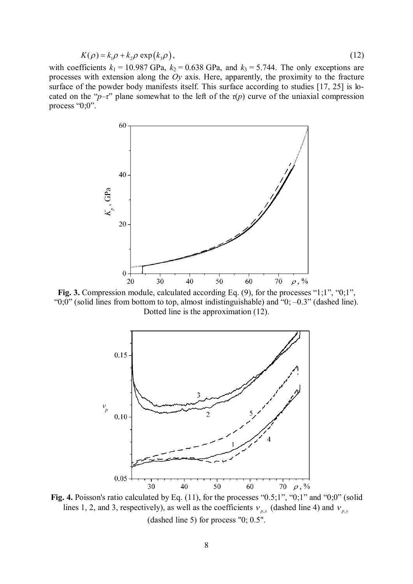$$
K(\rho) = k_1 \rho + k_2 \rho \exp(k_3 \rho), \qquad (12)
$$

with coefficients  $k_1 = 10.987$  GPa,  $k_2 = 0.638$  GPa, and  $k_3 = 5.744$ . The only exceptions are processes with extension along the *Oy* axis. Here, apparently, the proximity to the fracture surface of the powder body manifests itself. This surface according to studies [17, 25] is located on the " $p-r$ " plane somewhat to the left of the  $\tau(p)$  curve of the uniaxial compression process "0;0".



**Fig. 3.** Compression module, calculated according Eq. (9), for the processes "1;1", "0;1", " $0;0$ " (solid lines from bottom to top, almost indistinguishable) and " $0; -0.3$ " (dashed line). Dotted line is the approximation (12).



Fig. 4. Poisson's ratio calculated by Eq. (11), for the processes "0.5;1", "0;1" and "0;0" (solid lines 1, 2, and 3, respectively), as well as the coefficients  $v_{p,x}$  (dashed line 4) and  $v_{p,y}$ (dashed line 5) for process "0; 0.5".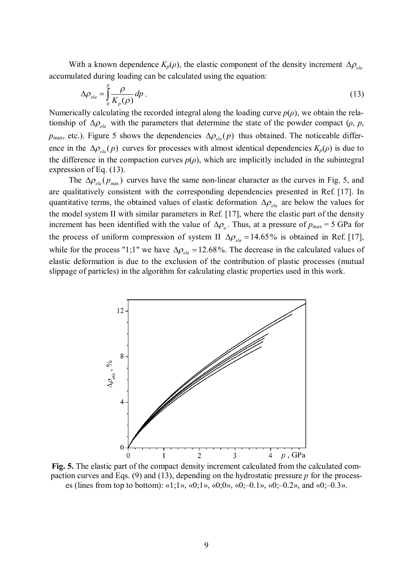With a known dependence  $K_p(\rho)$ , the elastic component of the density increment  $\Delta \rho_{\rho}$ accumulated during loading can be calculated using the equation:

$$
\Delta \rho_{ela} = \int_0^p \frac{\rho}{K_p(\rho)} dp \,. \tag{13}
$$

Numerically calculating the recorded integral along the loading curve  $p(\rho)$ , we obtain the relationship of  $\Delta \rho_{ela}$  with the parameters that determine the state of the powder compact ( $\rho$ ,  $p$ ,  $p_{\text{max}}$ , etc.). Figure 5 shows the dependencies  $\Delta p_{ela}(p)$  thus obtained. The noticeable difference in the  $\Delta \rho_{\text{evo}}(p)$  curves for processes with almost identical dependencies  $K_p(\rho)$  is due to the difference in the compaction curves  $p(\rho)$ , which are implicitly included in the subintegral expression of Eq. (13).

The  $\Delta \rho_{ela} ( p_{\text{max}} )$  curves have the same non-linear character as the curves in Fig. 5, and are qualitatively consistent with the corresponding dependencies presented in Ref. [17]. In quantitative terms, the obtained values of elastic deformation  $\Delta \rho_{ela}$  are below the values for the model system II with similar parameters in Ref. [17], where the elastic part of the density increment has been identified with the value of  $\Delta \rho_u$ . Thus, at a pressure of  $p_{max} = 5$  GPa for the process of uniform compression of system II  $\Delta \rho_{ela} = 14.65\%$  is obtained in Ref. [17], while for the process "1;1" we have  $\Delta \rho_{ela} = 12.68 \%$ . The decrease in the calculated values of elastic deformation is due to the exclusion of the contribution of plastic processes (mutual slippage of particles) in the algorithm for calculating elastic properties used in this work.



**Fig. 5.** The elastic part of the compact density increment calculated from the calculated compaction curves and Eqs. (9) and (13), depending on the hydrostatic pressure *p* for the processes (lines from top to bottom): «1;1», «0;1», «0;0», «0;–0.1», «0;–0.2», and «0;–0.3».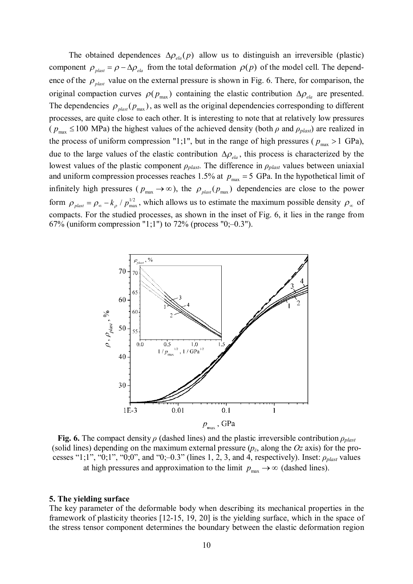The obtained dependences  $\Delta \rho_{ela}(p)$  allow us to distinguish an irreversible (plastic) component  $\rho_{\text{plast}} = \rho - \Delta \rho_{\text{ela}}$  from the total deformation  $\rho(p)$  of the model cell. The dependence of the  $\rho_{\text{plast}}$  value on the external pressure is shown in Fig. 6. There, for comparison, the original compaction curves  $\rho ( p_{\text{max}} )$  containing the elastic contribution  $\Delta \rho_{\text{ela}}$  are presented. The dependencies  $\rho_{\text{plast}} ( p_{\text{max}} )$ , as well as the original dependencies corresponding to different processes, are quite close to each other. It is interesting to note that at relatively low pressures ( $p_{\text{max}} \le 100$  MPa) the highest values of the achieved density (both  $\rho$  and  $\rho_{\text{plast}}$ ) are realized in the process of uniform compression "1;1", but in the range of high pressures ( $p_{\text{max}} > 1$  GPa), due to the large values of the elastic contribution  $\Delta \rho_{ela}$ , this process is characterized by the lowest values of the plastic component *ρplast*. The difference in *ρplast* values between uniaxial and uniform compression processes reaches 1.5% at  $p_{\text{max}} = 5$  GPa. In the hypothetical limit of infinitely high pressures ( $p_{\text{max}} \rightarrow \infty$ ), the  $p_{\text{plast}}(p_{\text{max}})$  dependencies are close to the power form  $\rho_{\text{plast}} = \rho_{\infty} - k_{\rho} / p_{\text{max}}^{1/2}$ , which allows us to estimate the maximum possible density  $\rho_{\infty}$  of compacts. For the studied processes, as shown in the inset of Fig. 6, it lies in the range from 67% (uniform compression "1;1") to 72% (process "0;-0.3").



**Fig. 6.** The compact density *ρ* (dashed lines) and the plastic irreversible contribution *ρplast* (solid lines) depending on the maximum external pressure  $(p_z)$ , along the  $Oz$  axis) for the processes "1;1", "0;1", "0;0", and "0;–0.3" (lines 1, 2, 3, and 4, respectively). Inset: *ρplast* values at high pressures and approximation to the limit  $p_{\text{max}} \to \infty$  (dashed lines).

#### **5. The yielding surface**

The key parameter of the deformable body when describing its mechanical properties in the framework of plasticity theories [12-15, 19, 20] is the yielding surface, which in the space of the stress tensor component determines the boundary between the elastic deformation region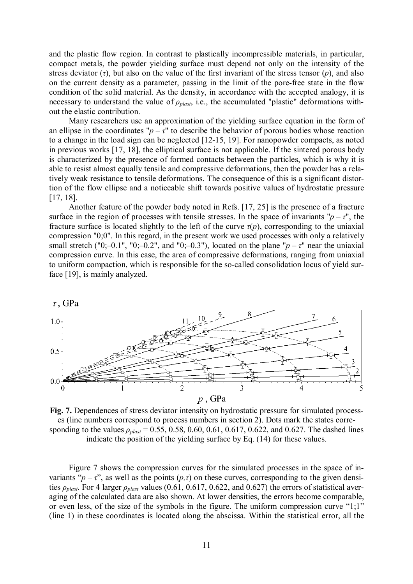and the plastic flow region. In contrast to plastically incompressible materials, in particular, compact metals, the powder yielding surface must depend not only on the intensity of the stress deviator  $(\tau)$ , but also on the value of the first invariant of the stress tensor  $(p)$ , and also on the current density as a parameter, passing in the limit of the pore-free state in the flow condition of the solid material. As the density, in accordance with the accepted analogy, it is necessary to understand the value of *ρ*<sub>*plast*, i.e., the accumulated "plastic" deformations with-</sub> out the elastic contribution.

Many researchers use an approximation of the yielding surface equation in the form of an ellipse in the coordinates " $p - \tau$ " to describe the behavior of porous bodies whose reaction to a change in the load sign can be neglected [12-15, 19]. For nanopowder compacts, as noted in previous works [17, 18], the elliptical surface is not applicable. If the sintered porous body is characterized by the presence of formed contacts between the particles, which is why it is able to resist almost equally tensile and compressive deformations, then the powder has a relatively weak resistance to tensile deformations. The consequence of this is a significant distortion of the flow ellipse and a noticeable shift towards positive values of hydrostatic pressure [17, 18].

Another feature of the powder body noted in Refs. [17, 25] is the presence of a fracture surface in the region of processes with tensile stresses. In the space of invariants " $p - \tau$ ", the fracture surface is located slightly to the left of the curve  $\tau(p)$ , corresponding to the uniaxial compression "0;0". In this regard, in the present work we used processes with only a relatively small stretch ("0;–0.1", "0;–0.2", and "0;–0.3"), located on the plane " $p - \tau$ " near the uniaxial compression curve. In this case, the area of compressive deformations, ranging from uniaxial to uniform compaction, which is responsible for the so-called consolidation locus of yield surface [19], is mainly analyzed.



**Fig. 7.** Dependences of stress deviator intensity on hydrostatic pressure for simulated processes (line numbers correspond to process numbers in section 2). Dots mark the states corresponding to the values *ρplast* = 0.55, 0.58, 0.60, 0.61, 0.617, 0.622, and 0.627. The dashed lines indicate the position of the yielding surface by Eq. (14) for these values.

Figure 7 shows the compression curves for the simulated processes in the space of invariants " $p - \tau$ ", as well as the points  $(p, \tau)$  on these curves, corresponding to the given densities *ρplast*. For 4 larger *ρplast* values (0.61, 0.617, 0.622, and 0.627) the errors of statistical averaging of the calculated data are also shown. At lower densities, the errors become comparable, or even less, of the size of the symbols in the figure. The uniform compression curve "1;1" (line 1) in these coordinates is located along the abscissa. Within the statistical error, all the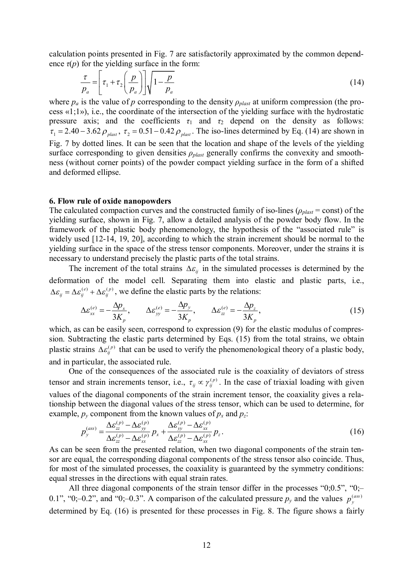calculation points presented in Fig. 7 are satisfactorily approximated by the common dependence  $\tau(p)$  for the yielding surface in the form:

$$
\frac{\tau}{p_a} = \left[ \tau_1 + \tau_2 \left( \frac{p}{p_a} \right) \right] \sqrt{1 - \frac{p}{p_a}}
$$
\n(14)

where  $p_a$  is the value of *p* corresponding to the density  $\rho_{\text{plast}}$  at uniform compression (the process «1;1»), i.e., the coordinate of the intersection of the yielding surface with the hydrostatic pressure axis; and the coefficients  $\tau_1$  and  $\tau_2$  depend on the density as follows:  $\tau_1 = 2.40 - 3.62 \rho_{\text{plast}}$ ,  $\tau_2 = 0.51 - 0.42 \rho_{\text{plast}}$ . The iso-lines determined by Eq. (14) are shown in Fig. 7 by dotted lines. It can be seen that the location and shape of the levels of the yielding surface corresponding to given densities *ρplast* generally confirms the convexity and smoothness (without corner points) of the powder compact yielding surface in the form of a shifted and deformed ellipse.

### **6. Flow rule of oxide nanopowders**

The calculated compaction curves and the constructed family of iso-lines ( $\rho_{plast}$  = const) of the yielding surface, shown in Fig. 7, allow a detailed analysis of the powder body flow. In the framework of the plastic body phenomenology, the hypothesis of the "associated rule" is widely used [12-14, 19, 20], according to which the strain increment should be normal to the yielding surface in the space of the stress tensor components. Moreover, under the strains it is necessary to understand precisely the plastic parts of the total strains.

The increment of the total strains  $\Delta \varepsilon_{ij}$  in the simulated processes is determined by the deformation of the model cell. Separating them into elastic and plastic parts, i.e.,  $\Delta \varepsilon_{ij} = \Delta \varepsilon_{ij}^{(e)} + \Delta \varepsilon_{ij}^{(p)}$ , we define the elastic parts by the relations:

$$
\Delta \varepsilon_{xx}^{(e)} = -\frac{\Delta p_x}{3K_p}, \qquad \Delta \varepsilon_{yy}^{(e)} = -\frac{\Delta p_y}{3K_p}, \qquad \Delta \varepsilon_{zz}^{(e)} = -\frac{\Delta p_z}{3K_p}, \tag{15}
$$

which, as can be easily seen, correspond to expression (9) for the elastic modulus of compression. Subtracting the elastic parts determined by Eqs. (15) from the total strains, we obtain plastic strains  $\Delta \varepsilon_{ij}^{(p)}$  that can be used to verify the phenomenological theory of a plastic body, and in particular, the associated rule.

One of the consequences of the associated rule is the coaxiality of deviators of stress tensor and strain increments tensor, i.e.,  $\tau_{ij} \propto \gamma_{ij}^{(p)}$ . In the case of triaxial loading with given values of the diagonal components of the strain increment tensor, the coaxiality gives a relationship between the diagonal values of the stress tensor, which can be used to determine, for example,  $p_y$  component from the known values of  $p_x$  and  $p_z$ .

$$
p_{y}^{(ass)} = \frac{\Delta \varepsilon_{zz}^{(p)} - \Delta \varepsilon_{yy}^{(p)}}{\Delta \varepsilon_{zz}^{(p)} - \Delta \varepsilon_{xx}^{(p)}} p_{x} + \frac{\Delta \varepsilon_{yy}^{(p)} - \Delta \varepsilon_{xx}^{(p)}}{\Delta \varepsilon_{zz}^{(p)} - \Delta \varepsilon_{xx}^{(p)}} p_{z}.
$$
 (16)

As can be seen from the presented relation, when two diagonal components of the strain tensor are equal, the corresponding diagonal components of the stress tensor also coincide. Thus, for most of the simulated processes, the coaxiality is guaranteed by the symmetry conditions: equal stresses in the directions with equal strain rates.

All three diagonal components of the strain tensor differ in the processes " $0;0.5$ ", " $0;$ 0.1", "0;-0.2", and "0;-0.3". A comparison of the calculated pressure  $p_y$  and the values  $p_y^{(ass)}$ determined by Eq. (16) is presented for these processes in Fig. 8. The figure shows a fairly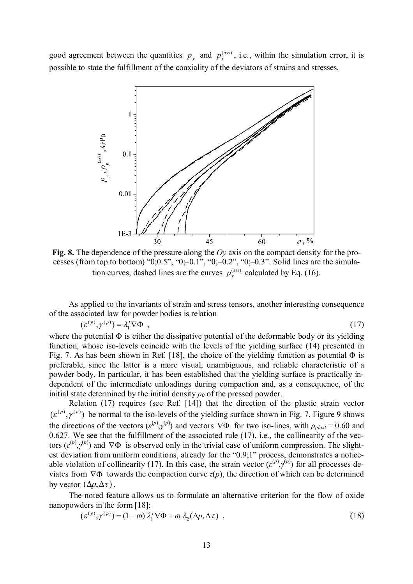good agreement between the quantities  $p_y$  and  $p_y^{(ass)}$ , i.e., within the simulation error, it is possible to state the fulfillment of the coaxiality of the deviators of strains and stresses.



**Fig. 8.** The dependence of the pressure along the *Oy* axis on the compact density for the processes (from top to bottom) " $0;0.5$ ", " $0;-0.1"$ , " $0;-0.2"$ , " $0;-0.3"$ . Solid lines are the simulation curves, dashed lines are the curves  $p_y^{\text{(ass)}}$  calculated by Eq. (16).

As applied to the invariants of strain and stress tensors, another interesting consequence of the associated law for powder bodies is relation

$$
(\varepsilon^{(p)}, \gamma^{(p)}) = \lambda_1' \nabla \Phi \tag{17}
$$

where the potential  $\Phi$  is either the dissipative potential of the deformable body or its yielding function, whose iso-levels coincide with the levels of the yielding surface (14) presented in Fig. 7. As has been shown in Ref. [18], the choice of the yielding function as potential  $\Phi$  is preferable, since the latter is a more visual, unambiguous, and reliable characteristic of a powder body. In particular, it has been established that the yielding surface is practically independent of the intermediate unloadings during compaction and, as a consequence, of the initial state determined by the initial density  $\rho_0$  of the pressed powder.

Relation (17) requires (see Ref. [14]) that the direction of the plastic strain vector  $(\varepsilon^{(p)}, \gamma^{(p)})$  be normal to the iso-levels of the yielding surface shown in Fig. 7. Figure 9 shows the directions of the vectors  $(\varepsilon^{(p)}, \gamma^{(p)})$  and vectors  $\nabla \Phi$  for two iso-lines, with  $\rho_{plast} = 0.60$  and 0.627. We see that the fulfillment of the associated rule (17), i.e., the collinearity of the vectors ( $\varepsilon^{(p)}, \gamma^{(p)}$ ) and  $\nabla \Phi$  is observed only in the trivial case of uniform compression. The slightest deviation from uniform conditions, already for the "0.9;1" process, demonstrates a noticeable violation of collinearity (17). In this case, the strain vector  $(\varepsilon^{(p)}, \gamma^{(p)})$  for all processes deviates from  $\nabla \Phi$  towards the compaction curve  $\tau(p)$ , the direction of which can be determined by vector  $(\Delta p, \Delta \tau)$ .

The noted feature allows us to formulate an alternative criterion for the flow of oxide nanopowders in the form [18]:

$$
(\varepsilon^{(p)}, \gamma^{(p)}) = (1 - \omega) \lambda_1' \nabla \Phi + \omega \lambda_2 (\Delta p, \Delta \tau) , \qquad (18)
$$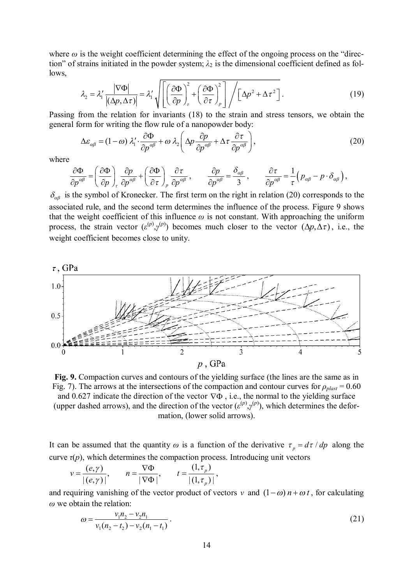where  $\omega$  is the weight coefficient determining the effect of the ongoing process on the "direction" of strains initiated in the powder system;  $\lambda_2$  is the dimensional coefficient defined as follows,

$$
\lambda_2 = \lambda_1' \frac{|\nabla \Phi|}{|(\Delta p, \Delta \tau)|} = \lambda_1' \sqrt{\left[ \left( \frac{\partial \Phi}{\partial p} \right)_\tau^2 + \left( \frac{\partial \Phi}{\partial \tau} \right)_p^2 \right]} / \left[ \Delta p^2 + \Delta \tau^2 \right].
$$
\n(19)

Passing from the relation for invariants (18) to the strain and stress tensors, we obtain the general form for writing the flow rule of a nanopowder body:

$$
\Delta \varepsilon_{\alpha\beta} = (1 - \omega) \lambda_1' \cdot \frac{\partial \Phi}{\partial p^{\alpha\beta}} + \omega \lambda_2 \left( \Delta p \frac{\partial p}{\partial p^{\alpha\beta}} + \Delta \tau \frac{\partial \tau}{\partial p^{\alpha\beta}} \right),\tag{20}
$$

where

$$
\frac{\partial \Phi}{\partial p^{\alpha\beta}} = \left(\frac{\partial \Phi}{\partial p}\right)_r \frac{\partial p}{\partial p^{\alpha\beta}} + \left(\frac{\partial \Phi}{\partial \tau}\right)_p \frac{\partial \tau}{\partial p^{\alpha\beta}}, \qquad \frac{\partial p}{\partial p^{\alpha\beta}} = \frac{\delta_{\alpha\beta}}{3}, \qquad \frac{\partial \tau}{\partial p^{\alpha\beta}} = \frac{1}{\tau} \left(p_{\alpha\beta} - p \cdot \delta_{\alpha\beta}\right),
$$

 $\delta_{\alpha\beta}$  is the symbol of Kronecker. The first term on the right in relation (20) corresponds to the associated rule, and the second term determines the influence of the process. Figure 9 shows that the weight coefficient of this influence  $\omega$  is not constant. With approaching the uniform process, the strain vector  $(e^{(p)}, y^{(p)})$  becomes much closer to the vector  $(\Delta p, \Delta \tau)$ , i.e., the weight coefficient becomes close to unity.



**Fig. 9.** Compaction curves and contours of the yielding surface (the lines are the same as in Fig. 7). The arrows at the intersections of the compaction and contour curves for  $\rho_{\text{plast}} = 0.60$ and 0.627 indicate the direction of the vector  $\nabla \Phi$ , i.e., the normal to the yielding surface (upper dashed arrows), and the direction of the vector  $(e^{(p)}, y^{(p)})$ , which determines the deformation, (lower solid arrows).

It can be assumed that the quantity  $\omega$  is a function of the derivative  $\tau_p = d\tau / dp$  along the curve  $\tau(p)$ , which determines the compaction process. Introducing unit vectors

$$
v = \frac{(e, \gamma)}{|(e, \gamma)|}, \qquad n = \frac{\nabla \Phi}{|\nabla \Phi|}, \qquad t = \frac{(1, \tau_p)}{|(1, \tau_p)|},
$$

and requiring vanishing of the vector product of vectors v and  $(1 - \omega) n + \omega t$ , for calculating *ω* we obtain the relation:

$$
\omega = \frac{v_1 n_2 - v_2 n_1}{v_1 (n_2 - t_2) - v_2 (n_1 - t_1)}.
$$
\n(21)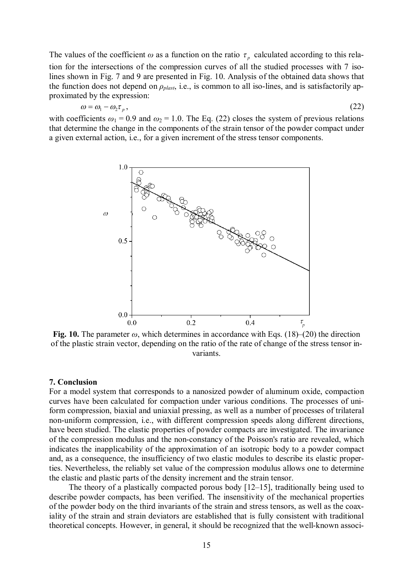The values of the coefficient  $\omega$  as a function on the ratio  $\tau_p$  calculated according to this relation for the intersections of the compression curves of all the studied processes with 7 isolines shown in Fig. 7 and 9 are presented in Fig. 10. Analysis of the obtained data shows that the function does not depend on *ρplast*, i.e., is common to all iso-lines, and is satisfactorily approximated by the expression:

$$
\omega = \omega_1 - \omega_2 \tau_p, \tag{22}
$$

with coefficients  $\omega_1 = 0.9$  and  $\omega_2 = 1.0$ . The Eq. (22) closes the system of previous relations that determine the change in the components of the strain tensor of the powder compact under a given external action, i.e., for a given increment of the stress tensor components.



**Fig. 10.** The parameter  $\omega$ , which determines in accordance with Eqs. (18)–(20) the direction of the plastic strain vector, depending on the ratio of the rate of change of the stress tensor invariants.

### **7. Conclusion**

For a model system that corresponds to a nanosized powder of aluminum oxide, compaction curves have been calculated for compaction under various conditions. The processes of uniform compression, biaxial and uniaxial pressing, as well as a number of processes of trilateral non-uniform compression, i.e., with different compression speeds along different directions, have been studied. The elastic properties of powder compacts are investigated. The invariance of the compression modulus and the non-constancy of the Poisson's ratio are revealed, which indicates the inapplicability of the approximation of an isotropic body to a powder compact and, as a consequence, the insufficiency of two elastic modules to describe its elastic properties. Nevertheless, the reliably set value of the compression modulus allows one to determine the elastic and plastic parts of the density increment and the strain tensor.

The theory of a plastically compacted porous body [12–15], traditionally being used to describe powder compacts, has been verified. The insensitivity of the mechanical properties of the powder body on the third invariants of the strain and stress tensors, as well as the coaxiality of the strain and strain deviators are established that is fully consistent with traditional theoretical concepts. However, in general, it should be recognized that the well-known associ-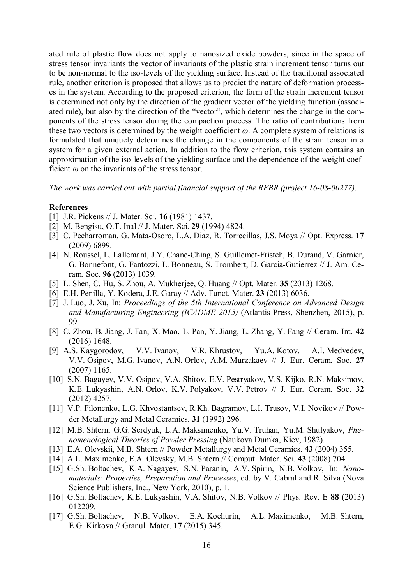ated rule of plastic flow does not apply to nanosized oxide powders, since in the space of stress tensor invariants the vector of invariants of the plastic strain increment tensor turns out to be non-normal to the iso-levels of the yielding surface. Instead of the traditional associated rule, another criterion is proposed that allows us to predict the nature of deformation processes in the system. According to the proposed criterion, the form of the strain increment tensor is determined not only by the direction of the gradient vector of the yielding function (associated rule), but also by the direction of the "vector", which determines the change in the components of the stress tensor during the compaction process. The ratio of contributions from these two vectors is determined by the weight coefficient *ω*. A complete system of relations is formulated that uniquely determines the change in the components of the strain tensor in a system for a given external action. In addition to the flow criterion, this system contains an approximation of the iso-levels of the yielding surface and the dependence of the weight coefficient *ω* on the invariants of the stress tensor.

*The work was carried out with partial financial support of the RFBR (project 16-08-00277).*

### **References**

- [1] J.R. Pickens // J. Mater. Sci. **16** (1981) 1437.
- [2] M. Bengisu, O.T. Inal // J. Mater. Sci. **29** (1994) 4824.
- [3] C. Pecharroman, G. Mata-Osoro, L.A. Diaz, R. Torrecillas, J.S. Moya // Opt. Express. **17** (2009) 6899.
- [4] N. Roussel, L. Lallemant, J.Y. Chane-Ching, S. Guillemet-Fristch, B. Durand, V. Garnier, G. Bonnefont, G. Fantozzi, L. Bonneau, S. Trombert, D. Garcia-Gutierrez // J. Am. Ceram. Soc. **96** (2013) 1039.
- [5] L. Shen, C. Hu, S. Zhou, A. Mukherjee, Q. Huang // Opt. Mater. **35** (2013) 1268.
- [6] E.H. Penilla, Y. Kodera, J.E. Garay // Adv. Funct. Mater. **23** (2013) 6036.
- [7] J. Luo, J. Xu, In: *Proceedings of the 5th International Conference on Advanced Design and Manufacturing Engineering (ICADME 2015)* (Atlantis Press, Shenzhen, 2015), p. 99.
- [8] C. Zhou, B. Jiang, J. Fan, X. Mao, L. Pan, Y. Jiang, L. Zhang, Y. Fang // Ceram. Int. **42** (2016) 1648.
- [9] A.S. Kaygorodov, V.V. Ivanov, V.R. Khrustov, Yu.A. Kotov, A.I. Medvedev, V.V. Osipov, M.G. Ivanov, A.N. Orlov, A.M. Murzakaev // J. Eur. Ceram. Soc. **27** (2007) 1165.
- [10] S.N. Bagayev, V.V. Osipov, V.A. Shitov, E.V. Pestryakov, V.S. Kijko, R.N. Maksimov, K.E. Lukyashin, A.N. Orlov, K.V. Polyakov, V.V. Petrov // J. Eur. Ceram. Soc. **32** (2012) 4257.
- [11] V.P. Filonenko, L.G. Khvostantsev, R.Kh. Bagramov, L.I. Trusov, V.I. Novikov // Powder Metallurgy and Metal Ceramics. **31** (1992) 296.
- [12] M.B. Shtern, G.G. Serdyuk, L.A. Maksimenko, Yu.V. Truhan, Yu.M. Shulyakov, *Phenomenological Theories of Powder Pressing* (Naukova Dumka, Kiev, 1982).
- [13] E.A. Olevskii, M.B. Shtern // Powder Metallurgy and Metal Ceramics. **43** (2004) 355.
- [14] A.L. Maximenko, E.A. Olevsky, M.B. Shtern // Comput. Mater. Sci. **43** (2008) 704.
- [15] G.Sh. Boltachev, K.A. Nagayev, S.N. Paranin, A.V. Spirin, N.B. Volkov, In: *Nanomaterials: Properties, Preparation and Processes*, ed. by V. Cabral and R. Silva (Nova Science Publishers, Inc., New York, 2010), p. 1.
- [16] G.Sh. Boltachev, K.E. Lukyashin, V.A. Shitov, N.B. Volkov // Phys. Rev. E **88** (2013) 012209.
- [17] G.Sh. Boltachev, N.B. Volkov, E.A. Kochurin, A.L. Maximenko, M.B. Shtern, E.G. Kirkova // Granul. Mater. **17** (2015) 345.